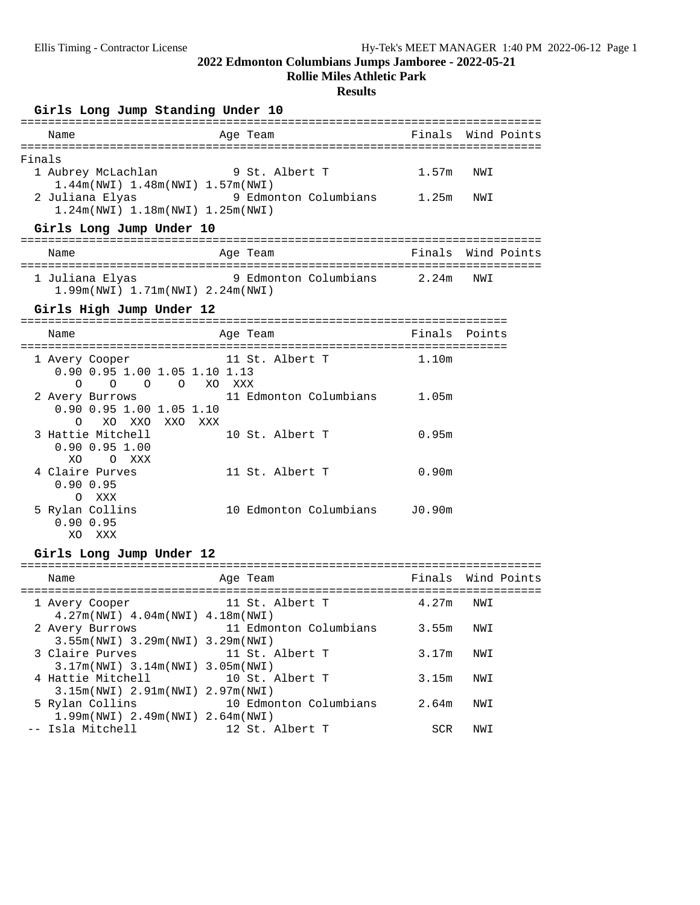**Rollie Miles Athletic Park**

### **Results**

### Girls Long Jump Standing Under 10

| Name                                                                                                                                                               | Finals Wind Points<br>Age Team               |                   |                    |
|--------------------------------------------------------------------------------------------------------------------------------------------------------------------|----------------------------------------------|-------------------|--------------------|
| Finals<br>1 Aubrey McLachlan 9 St. Albert T<br>1.44m(NWI) 1.48m(NWI) 1.57m(NWI)<br>2 Juliana Elyas<br>1.24m(NWI) 1.18m(NWI) 1.25m(NWI)<br>Girls Long Jump Under 10 | 9 Edmonton Columbians 1.25m                  | 1.57m             | NWI<br>NWI         |
| Name                                                                                                                                                               | Age Team                                     |                   | Finals Wind Points |
| 1 Juliana Elyas<br>1.99m(NWI) 1.71m(NWI) 2.24m(NWI)                                                                                                                | 9 Edmonton Columbians 2.24m                  |                   | NWI                |
| Girls High Jump Under 12                                                                                                                                           |                                              |                   |                    |
| Name                                                                                                                                                               | Age Team                                     | Finals Points     |                    |
| 1 Avery Cooper<br>0.90 0.95 1.00 1.05 1.10 1.13<br>O O O XO XXX<br>$\Omega$                                                                                        | 11 St. Albert T                              | 1.10 <sub>m</sub> |                    |
| 2 Avery Burrows<br>0.90 0.95 1.00 1.05 1.10<br>XO<br>XXO<br>XXO XXX<br>O                                                                                           | 11 Edmonton Columbians 1.05m                 |                   |                    |
| 3 Hattie Mitchell<br>$0.90$ $0.95$ 1.00<br>XO.<br>O XXX                                                                                                            | 10 St. Albert T                              | 0.95m             |                    |
| 4 Claire Purves<br>0.90 0.95<br>O XXX                                                                                                                              | 11 St. Albert T                              | 0.90m             |                    |
| 5 Rylan Collins<br>0.900.95<br>XO XXX                                                                                                                              | 10 Edmonton Columbians                       | J0.90m            |                    |
| Girls Long Jump Under 12                                                                                                                                           |                                              |                   |                    |
| Name                                                                                                                                                               | Age Team                                     |                   | Finals Wind Points |
| 1 Avery Cooper                                                                                                                                                     | 11 St. Albert T                              | 4.27m             | NWI                |
| 4.27m(NWI) 4.04m(NWI) 4.18m(NWI)<br>3.55m(NWI) 3.29m(NWI) 3.29m(NWI)                                                                                               | 2 Avery Burrows 11 Edmonton Columbians 3.55m |                   | NWI                |
| 3 Claire Purves<br>$3.17m(NWT)$ 3.14 $m(NWT)$                                                                                                                      | 11 St. Albert T<br>3.05m(NWI)                | 3.17m             | NWI                |
| 4 Hattie Mitchell<br>3.15m(NWI) 2.91m(NWI) 2.97m(NWI)                                                                                                              | 10 St. Albert T                              | 3.15m             | NWI                |
| 5 Rylan Collins<br>1.99m(NWI) 2.49m(NWI) 2.64m(NWI)                                                                                                                | 10 Edmonton Columbians                       | 2.64m             | NWI                |
| -- Isla Mitchell                                                                                                                                                   | 12 St. Albert T                              | SCR               | NWI                |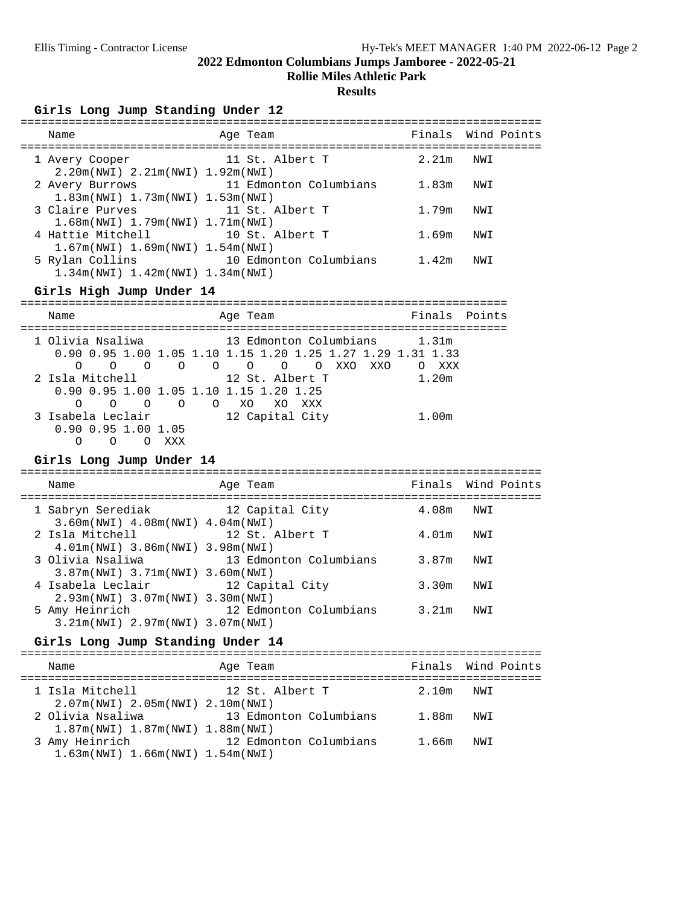**Rollie Miles Athletic Park**

#### **Results**

| Girls Long Jump Standing Under 12                                           |                        |       |                    |  |  |  |  |  |
|-----------------------------------------------------------------------------|------------------------|-------|--------------------|--|--|--|--|--|
| Name                                                                        | Age Team               |       | Finals Wind Points |  |  |  |  |  |
| 1 Avery Cooper<br>$2.20m(NWI)$ $2.21m(NWI)$ $1.92m(NWI)$                    | 11 St. Albert T        | 2.21m | NWI                |  |  |  |  |  |
| 2 Avery Burrows<br>$1.83m(NWT)$ $1.73m(NWT)$ $1.53m(NWT)$                   | 11 Edmonton Columbians | 1.83m | NWI                |  |  |  |  |  |
| 3 Claire Purves<br>$1.68$ m (NWI) $1.79$ m (NWI) $1.71$ m (NWI)             | 11 St. Albert T        | 1.79m | NWI                |  |  |  |  |  |
| 4 Hattie Mitchell 10 St. Albert T<br>$1.67m(NWT)$ $1.69m(NWT)$ $1.54m(NWT)$ |                        | 1.69m | NWI                |  |  |  |  |  |
| 5 Rylan Collins<br>$1.34m(NWT)$ $1.42m(NWT)$ $1.34m(NWT)$                   | 10 Edmonton Columbians | 1.42m | NWI                |  |  |  |  |  |

**Girls High Jump Under 14** ======================================================================= Name **Age Team** Age Team Finals Points ======================================================================= 1 Olivia Nsaliwa 13 Edmonton Columbians 1.31m 0.90 0.95 1.00 1.05 1.10 1.15 1.20 1.25 1.27 1.29 1.31 1.33 O O O O O O O O XXO XXO O XXX 2 Isla Mitchell 12 St. Albert T 1.20m 0.90 0.95 1.00 1.05 1.10 1.15 1.20 1.25 O O O O O XO XO XXX 3 Isabela Leclair 12 Capital City 1.00m 0.90 0.95 1.00 1.05 O O O XXX

**Girls Long Jump Under 14** ============================================================================ Name Age Team Finals Wind Points ============================================================================ 1 Sabryn Serediak 12 Capital City 4.08m NWI 3.60m(NWI) 4.08m(NWI) 4.04m(NWI) 2 Isla Mitchell 12 St. Albert T 4.01m NWI 4.01m(NWI) 3.86m(NWI) 3.98m(NWI) 3 Olivia Nsaliwa 13 Edmonton Columbians 3.87m NWI 3.87m(NWI) 3.71m(NWI) 3.60m(NWI) 4 Isabela Leclair 12 Capital City 3.30m NWI 2.93m(NWI) 3.07m(NWI) 3.30m(NWI) 5 Amy Heinrich 12 Edmonton Columbians 3.21m NWI 3.21m(NWI) 2.97m(NWI) 3.07m(NWI)

#### Girls Long Jump Standing Under 14

| Name                                                      | Age Team               |        | Finals Wind Points |  |
|-----------------------------------------------------------|------------------------|--------|--------------------|--|
| 1 Isla Mitchell<br>$2.07m(NWI)$ $2.05m(NWI)$ $2.10m(NWI)$ | 12 St. Albert T        | 2.10m  | NWT                |  |
| 2 Olivia Nsaliwa                                          | 13 Edmonton Columbians | 1 8.8m | NWT                |  |

| $1.87$ m(NWI) $1.87$ m(NWI) $1.88$ m(NWI) |                        |       |     |
|-------------------------------------------|------------------------|-------|-----|
| 3 Amy Heinrich                            | 12 Edmonton Columbians | 1.66m | NWI |
| $1.63$ m(NWI) $1.66$ m(NWI) $1.54$ m(NWI) |                        |       |     |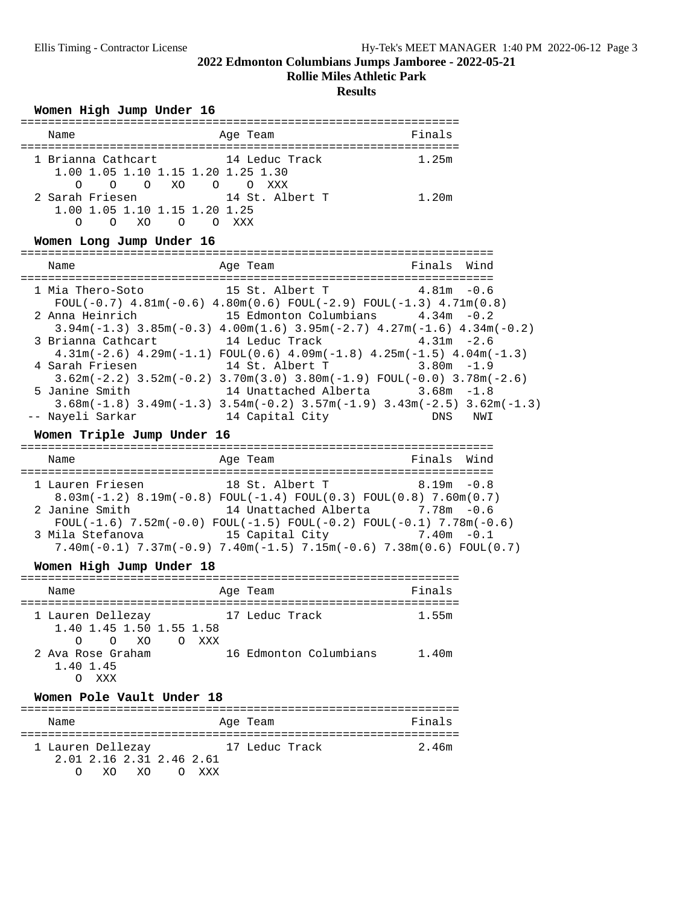**Rollie Miles Athletic Park**

**Results**

## Women High Jump Under 16

| Name                                                                                                                                                                                                                                                                                                                                                                                     | Age Team        | Finals                                            |         |
|------------------------------------------------------------------------------------------------------------------------------------------------------------------------------------------------------------------------------------------------------------------------------------------------------------------------------------------------------------------------------------------|-----------------|---------------------------------------------------|---------|
| 1 Brianna Cathcart 14 Leduc Track<br>1.00 1.05 1.10 1.15 1.20 1.25 1.30                                                                                                                                                                                                                                                                                                                  |                 | 1.25m                                             |         |
| 0 0 0 XO 0 0 XXX<br>2 Sarah Friesen<br>1.00 1.05 1.10 1.15 1.20 1.25<br>0 0 XO 0 0 XXX                                                                                                                                                                                                                                                                                                   | 14 St. Albert T | 1.20m                                             |         |
| Women Long Jump Under 16                                                                                                                                                                                                                                                                                                                                                                 |                 |                                                   |         |
| Name                                                                                                                                                                                                                                                                                                                                                                                     | Age Team        | Finals Wind                                       |         |
| 1 Mia Thero-Soto<br>FOUL $(-0.7)$ 4.81m $(-0.6)$ 4.80m $(0.6)$ FOUL $(-2.9)$ FOUL $(-1.3)$ 4.71m $(0.8)$<br>2 Anna Heinrich 15 Edmonton Columbians 4.34m -0.2<br>$3.94m(-1.3)$ $3.85m(-0.3)$ $4.00m(1.6)$ $3.95m(-2.7)$ $4.27m(-1.6)$ $4.34m(-0.2)$<br>3 Brianna Cathcart 14 Leduc Track 1.31m -2.6                                                                                      | 15 St. Albert T | $4.81m - 0.6$                                     |         |
| $4.31m(-2.6)$ $4.29m(-1.1)$ $FOUL(0.6)$ $4.09m(-1.8)$ $4.25m(-1.5)$ $4.04m(-1.3)$<br>4 Sarah Friesen                         14 St. Albert T<br>$3.62m(-2.2)$ $3.52m(-0.2)$ $3.70m(3.0)$ $3.80m(-1.9)$ $FOUL(-0.0)$ $3.78m(-2.6)$<br>5 Janine Smith                                                                                                                                      |                 | $3.80m - 1.9$<br>14 Unattached Alberta 3.68m -1.8 |         |
| $3.68$ m $(-1.8)$ $3.49$ m $(-1.3)$ $3.54$ m $(-0.2)$ $3.57$ m $(-1.9)$ $3.43$ m $(-2.5)$ $3.62$ m $(-1.3)$<br>-- Nayeli Sarkar                                                                                                                                                                                                                                                          | 14 Capital City |                                                   | DNS NWI |
| Women Triple Jump Under 16                                                                                                                                                                                                                                                                                                                                                               |                 |                                                   |         |
| Name                                                                                                                                                                                                                                                                                                                                                                                     | Age Team        | Finals Wind                                       |         |
| 1 Lauren Friesen 18 St. Albert T 8.19m -0.8<br>$8.03m(-1.2)$ $8.19m(-0.8)$ $FOUL(-1.4)$ $FOUL(0.3)$ $FOUL(0.8)$ $7.60m(0.7)$<br>2 Janine Smith<br>$FOUL(-1.6)$ 7.52m(-0.0) $FOUL(-1.5)$ $FOUL(-0.2)$ $FOUL(-0.1)$ 7.78m(-0.6)<br>3 Mila Stefanova               15 Capital City             7.40m -0.1<br>$7.40m(-0.1)$ $7.37m(-0.9)$ $7.40m(-1.5)$ $7.15m(-0.6)$ $7.38m(0.6)$ FOUL(0.7) |                 | 14 Unattached Alberta 7.78m -0.6                  |         |
| Women High Jump Under 18                                                                                                                                                                                                                                                                                                                                                                 |                 |                                                   |         |
| Name                                                                                                                                                                                                                                                                                                                                                                                     | Age Team        | Finals                                            |         |
| 1 Lauren Dellezay                 17 Leduc Track<br>1.40 1.45 1.50 1.55 1.58<br>O O XO O XXX                                                                                                                                                                                                                                                                                             |                 | 1.55m                                             |         |
| 2 Ava Rose Graham<br>1.40 1.45<br>O XXX                                                                                                                                                                                                                                                                                                                                                  |                 | 16 Edmonton Columbians 1.40m                      |         |
| Women Pole Vault Under 18                                                                                                                                                                                                                                                                                                                                                                |                 |                                                   |         |
| Name                                                                                                                                                                                                                                                                                                                                                                                     | Age Team        | Finals                                            |         |
| 1 Lauren Dellezay                   17 Leduc Track<br>2.01 2.16 2.31 2.46 2.61<br>XO XO O XXX<br>$\Omega$                                                                                                                                                                                                                                                                                |                 | 2.46m                                             |         |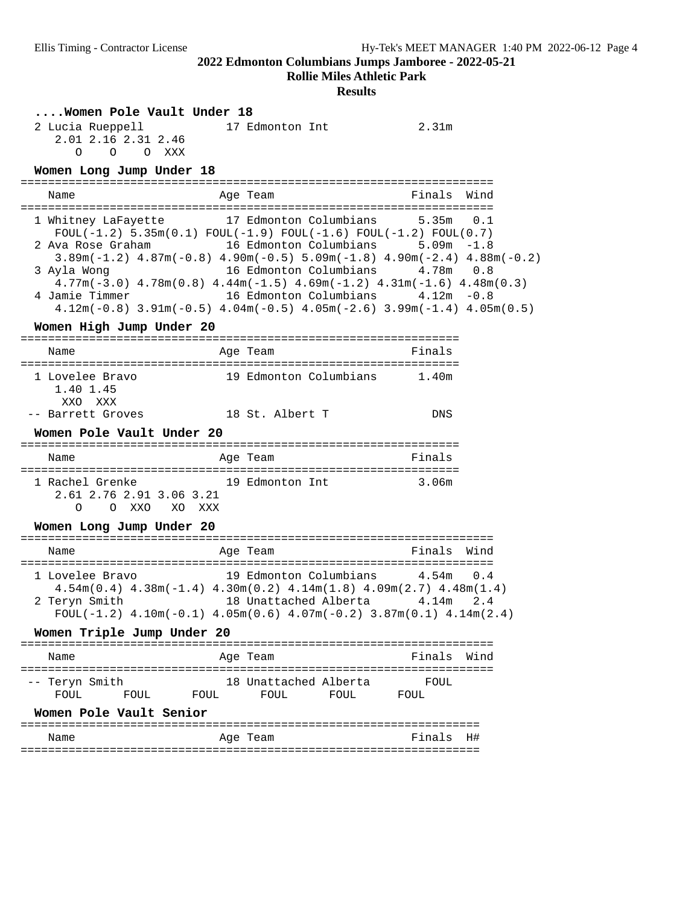**Rollie Miles Athletic Park**

#### **Results**

#### **....Women Pole Vault Under 18**

| 2 Lucia Rueppell |                     |  | 17 Edmonton Int | 2.31m |
|------------------|---------------------|--|-----------------|-------|
|                  | 2.01 2.16 2.31 2.46 |  |                 |       |
|                  | OOO XXX             |  |                 |       |

# **Women Long Jump Under 18** =====================================================================

Name **Age Team** Age Team Finals Wind ===================================================================== 1 Whitney LaFayette 17 Edmonton Columbians 5.35m 0.1  $F\text{OUL}(-1.2)$  5.35m $(0.1)$   $F\text{OUL}(-1.9)$   $F\text{OUL}(-1.6)$   $F\text{OUL}(-1.2)$   $F\text{OUL}(0.7)$  2 Ava Rose Graham 16 Edmonton Columbians 5.09m -1.8 3.89m(-1.2) 4.87m(-0.8) 4.90m(-0.5) 5.09m(-1.8) 4.90m(-2.4) 4.88m(-0.2) 3 Ayla Wong 16 Edmonton Columbians 4.78m 0.8 4.77m(-3.0) 4.78m(0.8) 4.44m(-1.5) 4.69m(-1.2) 4.31m(-1.6) 4.48m(0.3) 4 Jamie Timmer 16 Edmonton Columbians 4.12m -0.8 4.12m(-0.8) 3.91m(-0.5) 4.04m(-0.5) 4.05m(-2.6) 3.99m(-1.4) 4.05m(0.5)

# **Women High Jump Under 20** ================================================================

| Name                                                 | Age Team                                                                                                                                                                                                                                                                      | Finals       |
|------------------------------------------------------|-------------------------------------------------------------------------------------------------------------------------------------------------------------------------------------------------------------------------------------------------------------------------------|--------------|
| =======================                              |                                                                                                                                                                                                                                                                               |              |
| 1 Lovelee Bravo<br>1.40 1.45<br>XXO XXX              | 19 Edmonton Columbians 1.40m                                                                                                                                                                                                                                                  |              |
| -- Barrett Groves                                    | 18 St. Albert T                                                                                                                                                                                                                                                               | <b>DNS</b>   |
| Women Pole Vault Under 20                            |                                                                                                                                                                                                                                                                               |              |
| Name                                                 | Age Team                                                                                                                                                                                                                                                                      | Finals       |
| 2.61 2.76 2.91 3.06 3.21<br>O XXO XO XXX<br>$\Omega$ | 1 Rachel Grenke                     19 Edmonton Int                     3.06m                                                                                                                                                                                                 |              |
| Women Long Jump Under 20                             |                                                                                                                                                                                                                                                                               |              |
| Name                                                 | Age Team                                                                                                                                                                                                                                                                      | Finals Wind  |
| 2 Teryn Smith                                        | 1 Lovelee Bravo    19 Edmonton Columbians    4.54m    0.4<br>$4.54m(0.4)$ $4.38m(-1.4)$ $4.30m(0.2)$ $4.14m(1.8)$ $4.09m(2.7)$ $4.48m(1.4)$<br>18 Unattached Alberta           4.14m     2.4<br>FOUL(-1.2) $4.10m(-0.1)$ $4.05m(0.6)$ $4.07m(-0.2)$ $3.87m(0.1)$ $4.14m(2.4)$ |              |
| Women Triple Jump Under 20                           |                                                                                                                                                                                                                                                                               |              |
| Name                                                 | Age Team                                                                                                                                                                                                                                                                      | Einals Wind  |
| -- Teryn Smith                                       | 18 Unattached Alberta FOUL<br>${\tt FOUL} \qquad {\tt FOUL} \qquad {\tt FOUL} \qquad {\tt FOUL} \qquad {\tt FOUL} \qquad {\tt FOUL} \qquad {\tt FOUL}$                                                                                                                        |              |
| Women Pole Vault Senior                              |                                                                                                                                                                                                                                                                               |              |
| Name                                                 | Age Team                                                                                                                                                                                                                                                                      | Finals<br>H# |

===================================================================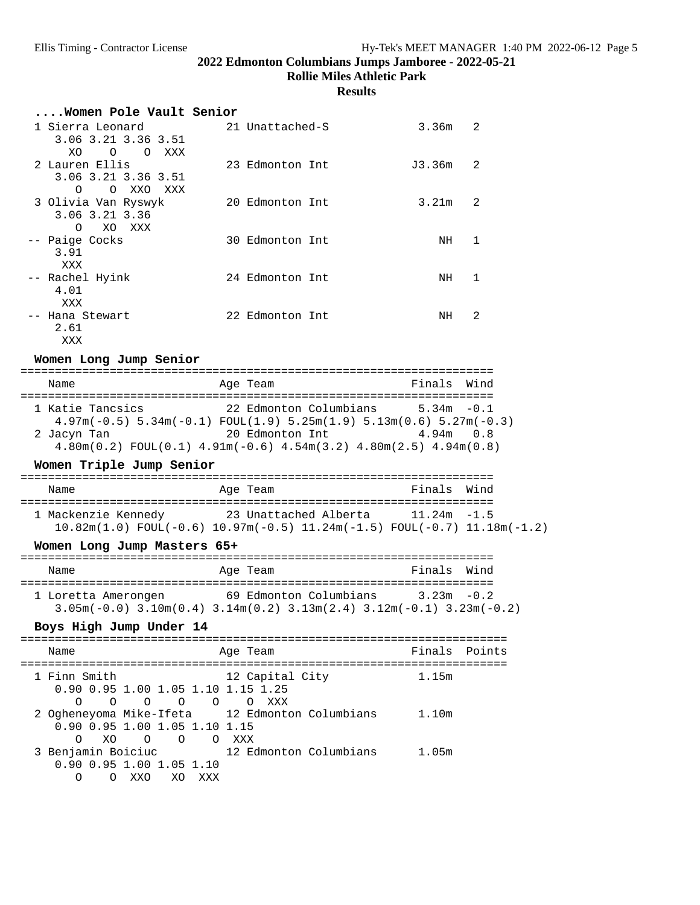**Rollie Miles Athletic Park**

#### **Results**

| Women Pole Vault Senior                                           |                 |        |                |
|-------------------------------------------------------------------|-----------------|--------|----------------|
| 1 Sierra Leonard<br>3.06 3.21 3.36 3.51                           | 21 Unattached-S | 3.36m  | $\mathfrak{D}$ |
| XO<br>$\circ$<br>$\Omega$<br>XXX                                  |                 |        |                |
| 2 Lauren Ellis<br>3.06 3.21 3.36 3.51<br>O XXO<br>$\Omega$<br>XXX | 23 Edmonton Int | J3.36m | $\mathfrak{D}$ |
| 3 Olivia Van Ryswyk<br>3.06 3.21 3.36<br>$\Omega$<br>XO<br>XXX    | 20 Edmonton Int | 3.21m  | $\mathcal{L}$  |
| -- Paige Cocks<br>3.91<br>XXX                                     | 30 Edmonton Int | NH     | $\mathbf{1}$   |
| -- Rachel Hyink<br>4.01<br>XXX                                    | 24 Edmonton Int | NH     | 1              |
| -- Hana Stewart<br>2.61<br>XXX                                    | 22 Edmonton Int | NH     | $\mathfrak{D}$ |
| Women Long Jump Senior                                            |                 |        |                |
| Name                                                              | Age Team        | Finals | Wind           |

===================================================================== 1 Katie Tancsics 22 Edmonton Columbians 5.34m -0.1 4.97m(-0.5) 5.34m(-0.1) FOUL(1.9) 5.25m(1.9) 5.13m(0.6) 5.27m(-0.3) 2 Jacyn Tan 20 Edmonton Int 4.94m 0.8 4.80m(0.2) FOUL(0.1) 4.91m(-0.6) 4.54m(3.2) 4.80m(2.5) 4.94m(0.8)

#### Women Triple Jump Senior

| Name                | Age Team                                                                                      | Finals Wind    |  |  |  |  |  |  |  |
|---------------------|-----------------------------------------------------------------------------------------------|----------------|--|--|--|--|--|--|--|
| 1 Mackenzie Kennedy | 23 Unattached Alberta                                                                         | $11.24m - 1.5$ |  |  |  |  |  |  |  |
|                     | $10.82$ m $(1.0)$ FOUL $(-0.6)$ 10.97m $(-0.5)$ 11.24m $(-1.5)$ FOUL $(-0.7)$ 11.18m $(-1.2)$ |                |  |  |  |  |  |  |  |

### Women Long Jump Masters 65+

|  | Name                                                                                                    |  | Age Team               | Finals Wind   |  |  |  |  |  |
|--|---------------------------------------------------------------------------------------------------------|--|------------------------|---------------|--|--|--|--|--|
|  | 1 Loretta Amerongen<br>$3.05m(-0.0)$ $3.10m(0.4)$ $3.14m(0.2)$ $3.13m(2.4)$ $3.12m(-0.1)$ $3.23m(-0.2)$ |  | 69 Edmonton Columbians | $3.23m - 0.2$ |  |  |  |  |  |

# **Boys High Jump Under 14** =======================================================================

| Name                                               |     |         |                 |         | Age Team |                 |                                                | Finals Points |  |
|----------------------------------------------------|-----|---------|-----------------|---------|----------|-----------------|------------------------------------------------|---------------|--|
| 1 Finn Smith<br>0.90 0.95 1.00 1.05 1.10 1.15 1.25 |     |         |                 |         |          | 12 Capital City |                                                | 1.15m         |  |
| ∩                                                  | ∩   | $\circ$ | $\Omega$        | $\circ$ | $\circ$  | xxx             |                                                |               |  |
|                                                    |     |         |                 |         |          |                 | 2 Ogheneyoma Mike-Ifeta 12 Edmonton Columbians | 1.10m         |  |
| 0.90 0.95 1.00 1.05 1.10 1.15                      |     |         |                 |         |          |                 |                                                |               |  |
| ∩                                                  | XO. |         | $\circ$ $\circ$ | O XXX   |          |                 |                                                |               |  |
| 3 Benjamin Boiciuc                                 |     |         |                 |         |          |                 | 12 Edmonton Columbians                         | 1.05m         |  |
| $0.90$ $0.95$ 1.00 1.05 1.10<br>∩                  |     | XXO     | XO.             | xxx     |          |                 |                                                |               |  |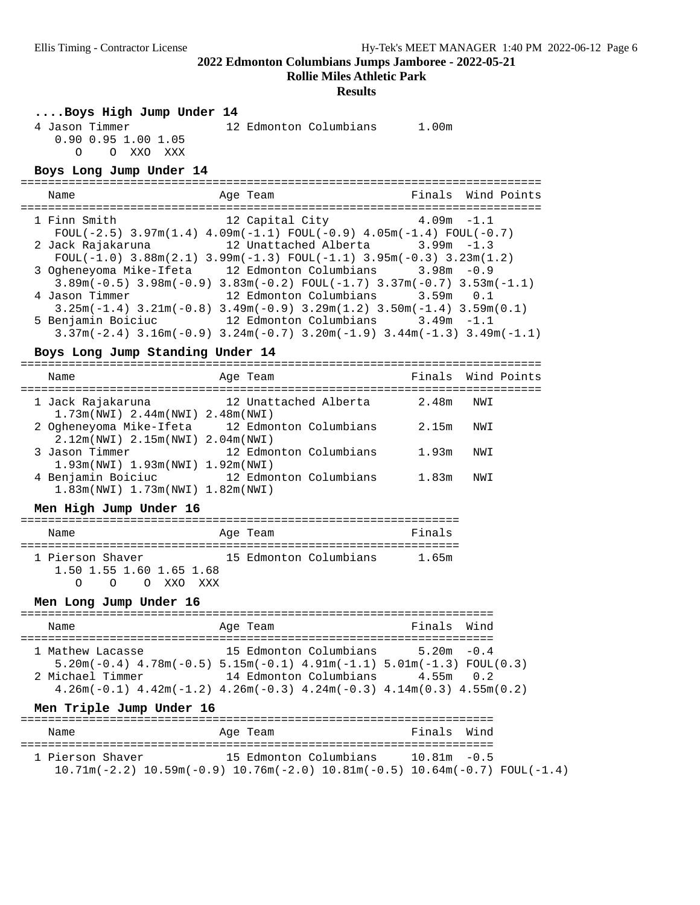**Rollie Miles Athletic Park**

#### **Results**

**....Boys High Jump Under 14**

 4 Jason Timmer 12 Edmonton Columbians 1.00m 0.90 0.95 1.00 1.05 O O XXO XXX

**Boys Long Jump Under 14** ============================================================================ Name Age Team Finals Wind Points ============================================================================ 1 Finn Smith 12 Capital City 4.09m -1.1  $F\text{OUL}(-2.5)$  3.97m(1.4) 4.09m(-1.1)  $F\text{OUL}(-0.9)$  4.05m(-1.4)  $F\text{OUL}(-0.7)$  2 Jack Rajakaruna 12 Unattached Alberta 3.99m -1.3 FOUL(-1.0) 3.88m(2.1) 3.99m(-1.3) FOUL(-1.1) 3.95m(-0.3) 3.23m(1.2) 3 Ogheneyoma Mike-Ifeta 12 Edmonton Columbians 3.98m -0.9 3.89m(-0.5) 3.98m(-0.9) 3.83m(-0.2) FOUL(-1.7) 3.37m(-0.7) 3.53m(-1.1) 4 Jason Timmer 12 Edmonton Columbians 3.59m 0.1 3.25m(-1.4) 3.21m(-0.8) 3.49m(-0.9) 3.29m(1.2) 3.50m(-1.4) 3.59m(0.1) 5 Benjamin Boiciuc 12 Edmonton Columbians 3.49m -1.1 3.37m(-2.4) 3.16m(-0.9) 3.24m(-0.7) 3.20m(-1.9) 3.44m(-1.3) 3.49m(-1.1)

# **Boys Long Jump Standing Under 14** ============================================================================

| Name                                                          | Age Team                                       |       | Finals Wind Points |
|---------------------------------------------------------------|------------------------------------------------|-------|--------------------|
| 1 Jack Rajakaruna<br>$1.73m(NWL)$ 2.44 $m(NWL)$ 2.48 $m(NWL)$ | 12 Unattached Alberta                          | 2.48m | NWI                |
| 2.12m(NWI) 2.15m(NWI) 2.04m(NWI)                              | 2 Ogheneyoma Mike-Ifeta 12 Edmonton Columbians | 2.15m | NWI                |
| 3 Jason Timmer<br>1.93m(NWI) 1.93m(NWI) 1.92m(NWI)            | 12 Edmonton Columbians                         | 1.93m | NWI                |
| 4 Benjamin Boiciuc<br>1.83m(NWT) 1.73m(NWT) 1.82m(NWT)        | 12 Edmonton Columbians                         | 1.83m | NWI                |

#### Men High Jump Under 16

| Name                                              |        |  |           |  |  | Age Team |                        | Finals |  |  |
|---------------------------------------------------|--------|--|-----------|--|--|----------|------------------------|--------|--|--|
| 1 Pierson Shaver<br>1.50 1.55 1.60 1.65 1.68<br>∩ | $\cap$ |  | O XXO XXX |  |  |          | 15 Edmonton Columbians | 1.65m  |  |  |

**Men Long Jump Under 16** ===================================================================== Name **Age Team** Age Team Finals Wind ===================================================================== 1 Mathew Lacasse 15 Edmonton Columbians 5.20m -0.4 5.20m(-0.4) 4.78m(-0.5) 5.15m(-0.1) 4.91m(-1.1) 5.01m(-1.3) FOUL(0.3) 2 Michael Timmer 14 Edmonton Columbians 4.55m 0.2 4.26m(-0.1) 4.42m(-1.2) 4.26m(-0.3) 4.24m(-0.3) 4.14m(0.3) 4.55m(0.2)

#### Men Triple Jump Under 16

| Name                                                                                                        | Age Team               | Finals Wind    |  |
|-------------------------------------------------------------------------------------------------------------|------------------------|----------------|--|
| 1 Pierson Shaver<br>$10.71m(-2.2)$ $10.59m(-0.9)$ $10.76m(-2.0)$ $10.81m(-0.5)$ $10.64m(-0.7)$ $FOUT(-1.4)$ | 15 Edmonton Columbians | $10.81m - 0.5$ |  |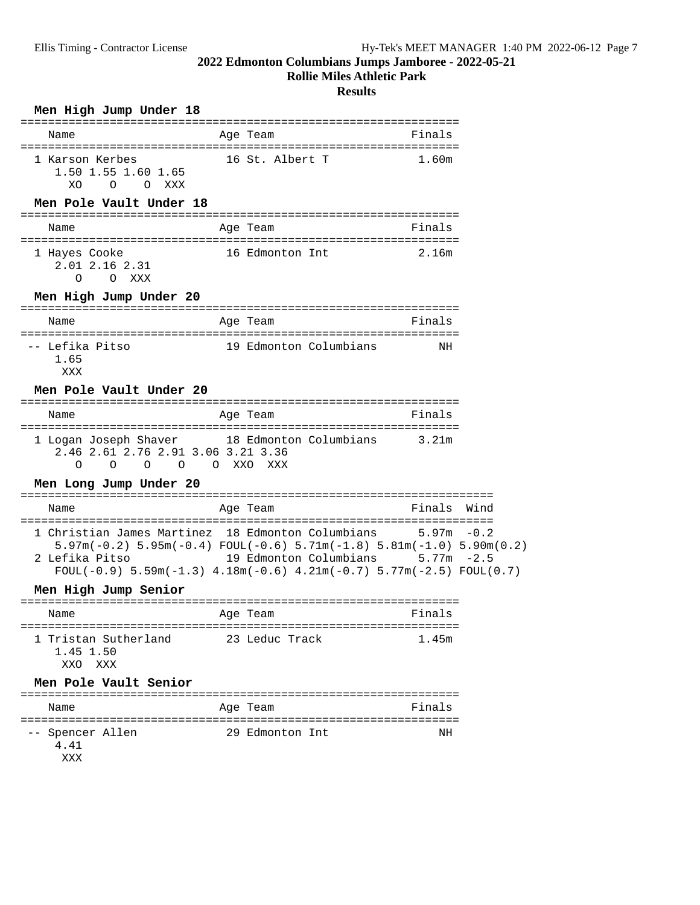### **Rollie Miles Athletic Park**

### **Results**

| Men High Jump Under 18                                                                                           |                                                                                                                                                                                                    |                              |  |
|------------------------------------------------------------------------------------------------------------------|----------------------------------------------------------------------------------------------------------------------------------------------------------------------------------------------------|------------------------------|--|
| Name                                                                                                             | Age Team                                                                                                                                                                                           | Finals                       |  |
| 1 Karson Kerbes<br>1.50 1.55 1.60 1.65<br>O XXX<br>XO<br>$\circ$                                                 | 16 St. Albert T                                                                                                                                                                                    | 1.60m                        |  |
| Men Pole Vault Under 18                                                                                          |                                                                                                                                                                                                    |                              |  |
| Name                                                                                                             | Age Team                                                                                                                                                                                           | Finals                       |  |
| 1 Hayes Cooke<br>2.01 2.16 2.31<br>O XXX<br>$\Omega$                                                             | 16 Edmonton Int                                                                                                                                                                                    | 2.16m                        |  |
| Men High Jump Under 20                                                                                           |                                                                                                                                                                                                    |                              |  |
| Name                                                                                                             | Age Team                                                                                                                                                                                           | Finals                       |  |
| -- Lefika Pitso<br>1.65<br>XXX                                                                                   | 19 Edmonton Columbians                                                                                                                                                                             | NH                           |  |
| Men Pole Vault Under 20                                                                                          |                                                                                                                                                                                                    |                              |  |
| Name                                                                                                             | ----------<br>Age Team                                                                                                                                                                             | Finals                       |  |
| 1 Logan Joseph Shaver 18 Edmonton Columbians 3.21m<br>2.46 2.61 2.76 2.91 3.06 3.21 3.36<br>$\Omega$<br>$\Omega$ | O O O XXO XXX                                                                                                                                                                                      |                              |  |
| Men Long Jump Under 20                                                                                           | ======================                                                                                                                                                                             | ============================ |  |
| Name                                                                                                             | Age Team                                                                                                                                                                                           | Finals Wind                  |  |
| 1 Christian James Martinez 18 Edmonton Columbians<br>2 Lefika Pitso                                              | $5.97m(-0.2)$ $5.95m(-0.4)$ $FOUT(-0.6)$ $5.71m(-1.8)$ $5.81m(-1.0)$ $5.90m(0.2)$<br>19 Edmonton Columbians 5.77m -2.5<br>$FOUL(-0.9)$ 5.59m(-1.3) 4.18m(-0.6) 4.21m(-0.7) 5.77m(-2.5) $FOUL(0.7)$ | $5.97m - 0.2$                |  |
| Men High Jump Senior                                                                                             |                                                                                                                                                                                                    |                              |  |
| Name                                                                                                             | Age Team                                                                                                                                                                                           | Fınals                       |  |
| 1 Tristan Sutherland<br>1.45 1.50<br>XXO XXX                                                                     | 23 Leduc Track                                                                                                                                                                                     | 1.45m                        |  |
| Men Pole Vault Senior                                                                                            |                                                                                                                                                                                                    |                              |  |
| Name                                                                                                             | Age Team                                                                                                                                                                                           | Finals                       |  |
| -- Spencer Allen<br>4.41<br>XXX                                                                                  | 29 Edmonton Int                                                                                                                                                                                    | NH                           |  |